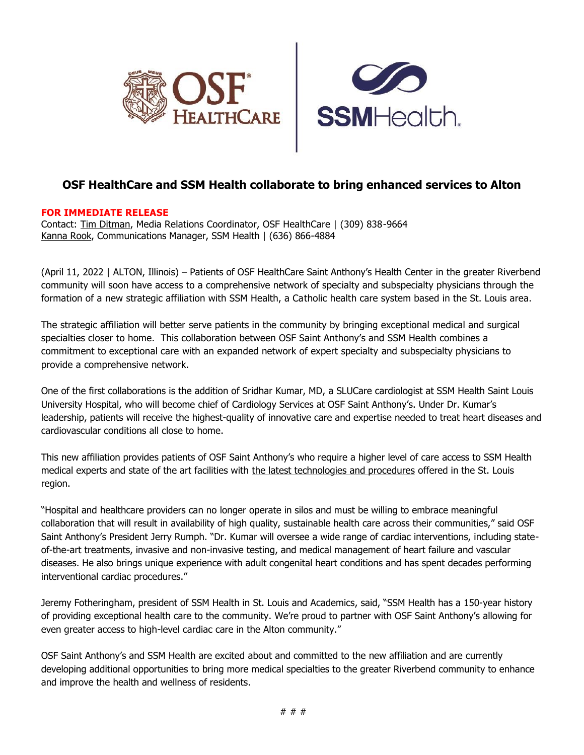



## **OSF HealthCare and SSM Health collaborate to bring enhanced services to Alton**

## **FOR IMMEDIATE RELEASE**

Contact: [Tim Ditman,](mailto:timothy.r.ditman@osfhealthcare.org) Media Relations Coordinator, OSF HealthCare | (309) 838-9664 [Kanna Rook,](mailto:Kanna.Rook@ssmhealth.com) Communications Manager, SSM Health | (636) 866-4884

(April 11, 2022 | ALTON, Illinois) – Patients of OSF HealthCare Saint Anthony's Health Center in the greater Riverbend community will soon have access to a comprehensive network of specialty and subspecialty physicians through the formation of a new strategic affiliation with SSM Health, a Catholic health care system based in the St. Louis area.

The strategic affiliation will better serve patients in the community by bringing exceptional medical and surgical specialties closer to home. This collaboration between OSF Saint Anthony's and SSM Health combines a commitment to exceptional care with an expanded network of expert specialty and subspecialty physicians to provide a comprehensive network.

One of the first collaborations is the addition of Sridhar Kumar, MD, a SLUCare cardiologist at SSM Health Saint Louis University Hospital, who will become chief of Cardiology Services at OSF Saint Anthony's. Under Dr. Kumar's leadership, patients will receive the highest-quality of innovative care and expertise needed to treat heart diseases and cardiovascular conditions all close to home.

This new affiliation provides patients of OSF Saint Anthony's who require a higher level of care access to SSM Health medical experts and state of the art facilities with [the latest technologies and procedures](https://www.ssmhealth.com/heart-vascular-health) offered in the St. Louis region.

"Hospital and healthcare providers can no longer operate in silos and must be willing to embrace meaningful collaboration that will result in availability of high quality, sustainable health care across their communities," said OSF Saint Anthony's President Jerry Rumph. "Dr. Kumar will oversee a wide range of cardiac interventions, including stateof-the-art treatments, invasive and non-invasive testing, and medical management of heart failure and vascular diseases. He also brings unique experience with adult congenital heart conditions and has spent decades performing interventional cardiac procedures."

Jeremy Fotheringham, president of SSM Health in St. Louis and Academics, said, "SSM Health has a 150-year history of providing exceptional health care to the community. We're proud to partner with OSF Saint Anthony's allowing for even greater access to high-level cardiac care in the Alton community."

OSF Saint Anthony's and SSM Health are excited about and committed to the new affiliation and are currently developing additional opportunities to bring more medical specialties to the greater Riverbend community to enhance and improve the health and wellness of residents.